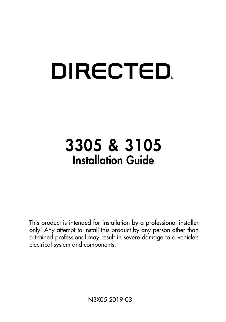# **DIRECTED**

# 3305 & 3105 Installation Guide

This product is intended for installation by a professional installer only! Any attempt to install this product by any person other than a trained professional may result in severe damage to a vehicle's electrical system and components.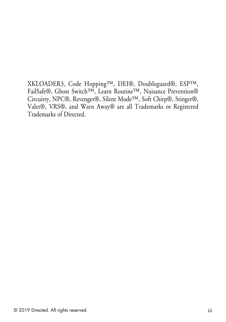XKLOADER3, Code Hopping™, DEI®, Doubleguard®, ESP™, FailSafe®, Ghost Switch™, Learn Routine™, Nuisance Prevention® Circuitry, NPC®, Revenger®, Silent Mode™, Soft Chirp®, Stinger®, Valet®, VRS®, and Warn Away® are all Trademarks or Registered Trademarks of Directed.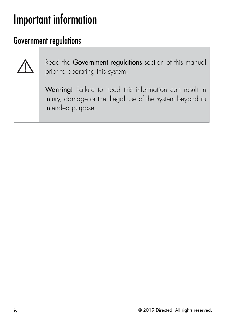### <span id="page-3-0"></span>Important information

### Government regulations



Read the Government regulations section of this manual prior to operating this system.

Warning! Failure to heed this information can result in injury, damage or the illegal use of the system beyond its intended purpose.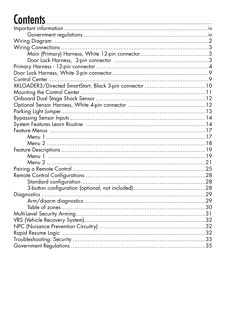### **Contents**

| XKLOADER3/Directed SmartStart, Black 3-pin connector  10 |  |
|----------------------------------------------------------|--|
|                                                          |  |
|                                                          |  |
|                                                          |  |
|                                                          |  |
|                                                          |  |
|                                                          |  |
|                                                          |  |
|                                                          |  |
|                                                          |  |
|                                                          |  |
|                                                          |  |
|                                                          |  |
|                                                          |  |
|                                                          |  |
|                                                          |  |
|                                                          |  |
|                                                          |  |
|                                                          |  |
|                                                          |  |
|                                                          |  |
|                                                          |  |
|                                                          |  |
|                                                          |  |
|                                                          |  |
|                                                          |  |
|                                                          |  |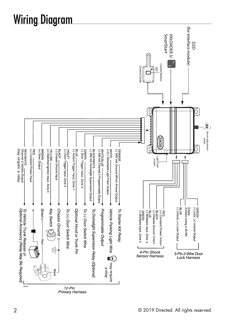# <span id="page-5-0"></span>Wiring Diagram

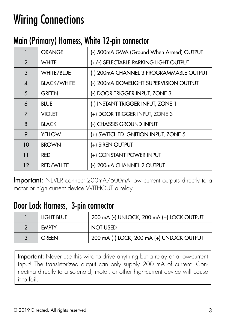# <span id="page-6-0"></span>Wiring Connections

### Main (Primary) Harness, White 12-pin connector

|                        | <b>ORANGE</b>      | (-) 500mA GWA (Ground When Armed) OUTPUT |
|------------------------|--------------------|------------------------------------------|
| 2                      | <b>WHITE</b>       | (+/-) SELECTABLE PARKING LIGHT OUTPUT    |
| 3                      | WHITE/BLUE         | (-) 200 mA CHANNEL 3 PROGRAMMABLE OUTPUT |
| $\boldsymbol{\Lambda}$ | <b>BLACK/WHITE</b> | (-) 200mA DOMELIGHT SUPERVISION OUTPUT   |
| 5                      | <b>GREEN</b>       | (-) DOOR TRIGGER INPUT, ZONE 3           |
| 6                      | <b>BLUE</b>        | (-) INSTANT TRIGGER INPUT, ZONE 1        |
| $\overline{7}$         | <b>VIOLET</b>      | (+) DOOR TRIGGER INPUT, ZONE 3           |
| 8                      | <b>BLACK</b>       | (-) CHASSIS GROUND INPUT                 |
| 9                      | <b>YELLOW</b>      | (+) SWITCHED IGNITION INPUT, ZONE 5      |
| 10                     | <b>BROWN</b>       | (+) SIREN OUTPUT                         |
| 11                     | <b>RED</b>         | (+) CONSTANT POWER INPUT                 |
| 12                     | RED/WHITE          | (-) 200mA CHANNEL 2 OUTPUT               |

Important: NEVER connect 200mA/500mA low current outputs directly to a motor or high current device WITHOUT a relay.

### Door Lock Harness, 3-pin connector

|                | <b>LIGHT BLUE</b> | 200 mA (-) UNLOCK, 200 mA (+) LOCK OUTPUT |
|----------------|-------------------|-------------------------------------------|
| $\overline{2}$ | <b>FMPTY</b>      | NOT USED                                  |
| 3              | <b>GREEN</b>      | 200 mA (-) LOCK, 200 mA (+) UNLOCK OUTPUT |

Important: Never use this wire to drive anything but a relay or a low-current input! The transistorized output can only supply 200 mA of current. Connecting directly to a solenoid, motor, or other high-current device will cause it to fail.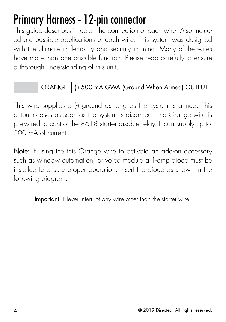### <span id="page-7-0"></span>Primary Harness - 12-pin connector

This guide describes in detail the connection of each wire. Also included are possible applications of each wire. This system was designed with the ultimate in flexibility and security in mind. Many of the wires have more than one possible function. Please read carefully to ensure a thorough understanding of this unit.

#### 1 | ORANGE | (-) 500 mA GWA (Ground When Armed) OUTPUT

This wire supplies a (-) ground as long as the system is armed. This output ceases as soon as the system is disarmed. The Orange wire is pre-wired to control the 8618 starter disable relay. It can supply up to 500 mA of current.

Note: If using the this Orange wire to activate an add-on accessory such as window automation, or voice module a 1-amp diode must be installed to ensure proper operation. Insert the diode as shown in the following diagram.

Important: Never interrupt any wire other than the starter wire.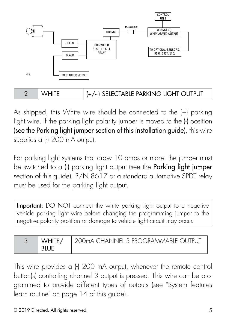

As shipped, this White wire should be connected to the (+) parking light wire. If the parking light polarity jumper is moved to the (-) position (see the Parking light jumper section of this installation guide), this wire supplies a (-) 200 mA output.

For parking light systems that draw 10 amps or more, the jumper must be switched to a (-) parking light output (see the **Parking light jumper** section of this guide). P/N 8617 or a standard automotive SPDT relay must be used for the parking light output.

Important: DO NOT connect the white parking light output to a negative vehicle parking light wire before changing the programming jumper to the negative polarity position or damage to vehicle light circuit may occur.

| WHITF/ | ! 200mA CHANNFI 3 PROGRAMMARIF OIJTPLIT |
|--------|-----------------------------------------|
|        |                                         |

This wire provides a (-) 200 mA output, whenever the remote control button(s) controlling channel 3 output is pressed. This wire can be programmed to provide different types of outputs (see ["System features](#page-17-1) [learn routine" on page 14](#page-17-1) of this guide).

© 2019 Directed. All rights reserved. 5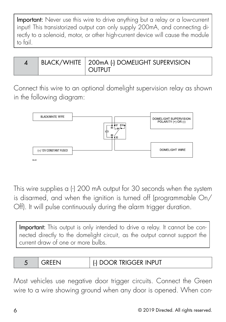Important: Never use this wire to drive anything but a relay or a low-current input! This transistorized output can only supply 200mA, and connecting directly to a solenoid, motor, or other high-current device will cause the module to fail.

| BLACK/WHITE   200mA (-) DOMELIGHT SUPERVISION<br>$\cap$ itpi it |  |
|-----------------------------------------------------------------|--|
|-----------------------------------------------------------------|--|

Connect this wire to an optional domelight supervision relay as shown in the following diagram:



This wire supplies a (-) 200 mA output for 30 seconds when the system is disarmed, and when the ignition is turned off (programmable On/ Off). It will pulse continuously during the alarm trigger duration.

Important: This output is only intended to drive a relay. It cannot be connected directly to the domelight circuit, as the output cannot support the current draw of one or more bulbs.

|  |  | , DOOR TRIGGER INPUT |
|--|--|----------------------|
|--|--|----------------------|

Most vehicles use negative door trigger circuits. Connect the Green wire to a wire showing ground when any door is opened. When con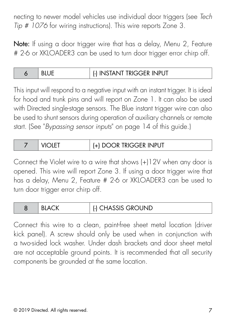necting to newer model vehicles use individual door triggers (see *Tech Tip # 1076* for wiring instructions). This wire reports Zone 3.

Note: If using a door trigger wire that has a delay, Menu 2, Feature # 2-6 or XKLOADER3 can be used to turn door trigger error chirp off.

|  |  | (-) INSTANT TRIGGER INPUT |
|--|--|---------------------------|
|--|--|---------------------------|

This input will respond to a negative input with an instant trigger. It is ideal for hood and trunk pins and will report on Zone 1. It can also be used with Directed single-stage sensors. The Blue instant trigger wire can also be used to shunt sensors during operation of auxiliary channels or remote start. (See "*[Bypassing sensor inputs](#page-17-2)*" on page 14 of this guide.)

|  | <b>VIOLET</b> | (+) DOOR TRIGGER INPUT |
|--|---------------|------------------------|
|--|---------------|------------------------|

Connect the Violet wire to a wire that shows (+)12V when any door is opened. This wire will report Zone 3. If using a door trigger wire that has a delay, Menu 2, Feature # 2-6 or XKLOADER3 can be used to turn door trigger error chirp off.

| (-) CHASSIS GROUND<br><b>ACK</b><br>BL, |  |
|-----------------------------------------|--|
|-----------------------------------------|--|

Connect this wire to a clean, paint-free sheet metal location (driver kick panel). A screw should only be used when in conjunction with a two-sided lock washer. Under dash brackets and door sheet metal are not acceptable ground points. It is recommended that all security components be grounded at the same location.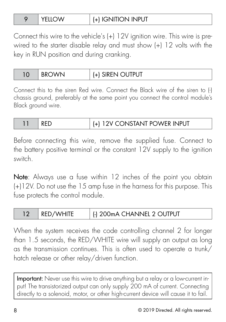| YELLOW |
|--------|
|        |

Connect this wire to the vehicle's (+) 12V ignition wire. This wire is prewired to the starter disable relay and must show (+) 12 volts with the key in RUN position and during cranking.

| 10 | <b>RRC</b> | <b>SIREN OUTPUT</b> |
|----|------------|---------------------|
|----|------------|---------------------|

Connect this to the siren Red wire. Connect the Black wire of the siren to (-) chassis ground, preferably at the same point you connect the control module's Black ground wire.

| I RED | $\vert$ (+) 12V CONSTANT POWER INPUT |
|-------|--------------------------------------|
|       |                                      |

Before connecting this wire, remove the supplied fuse. Connect to the battery positive terminal or the constant 12V supply to the ignition switch.

Note: Always use a fuse within 12 inches of the point you obtain (+)12V. Do not use the 15 amp fuse in the harness for this purpose. This fuse protects the control module.

|  | RED/WHITE | [-] 200mA CHANNEL 2 OUTPUT |
|--|-----------|----------------------------|
|--|-----------|----------------------------|

When the system receives the code controlling channel 2 for longer than 1.5 seconds, the RED/WHITE wire will supply an output as long as the transmission continues. This is often used to operate a trunk/ hatch release or other relay/driven function.

Important: Never use this wire to drive anything but a relay or a low-current input! The transistorized output can only supply 200 mA of current. Connecting directly to a solenoid, motor, or other high-current device will cause it to fail.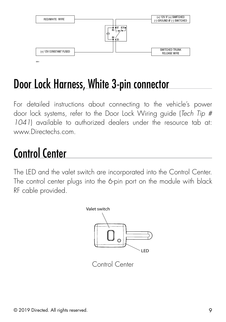<span id="page-12-0"></span>

### Door Lock Harness, White 3-pin connector

For detailed instructions about connecting to the vehicle's power door lock systems, refer to the Door Lock Wiring guide (*Tech Tip # 1041*) available to authorized dealers under the resource tab at: www.Directechs.com.

### Control Center

The LED and the valet switch are incorporated into the Control Center. The control center plugs into the 6-pin port on the module with black RF cable provided.



Control Center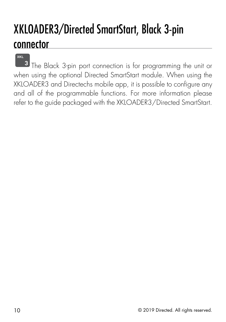### <span id="page-13-0"></span>XKLOADER3/Directed SmartStart, Black 3-pin connector

when using the optional Directed SmartStart module. When using the **2 3** The Black 3-pin port connection is for programming the unit or XKLOADER3 and Directechs mobile app, it is possible to configure any and all of the programmable functions. For more information please refer to the guide packaged with the XKLOADER3/Directed SmartStart.

**XKL**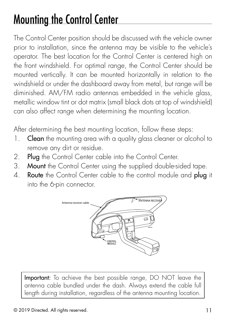# <span id="page-14-0"></span>Mounting the Control Center

The Control Center position should be discussed with the vehicle owner prior to installation, since the antenna may be visible to the vehicle's operator. The best location for the Control Center is centered high on the front windshield. For optimal range, the Control Center should be mounted vertically. It can be mounted horizontally in relation to the windshield or under the dashboard away from metal, but range will be diminished. AM/FM radio antennas embedded in the vehicle glass, metallic window tint or dot matrix (small black dots at top of windshield) can also affect range when determining the mounting location.

After determining the best mounting location, follow these steps:

- 1. Clean the mounting area with a quality glass cleaner or alcohol to remove any dirt or residue.
- 2. Plug the Control Center cable into the Control Center.
- 3. Mount the Control Center using the supplied double-sided tape.
- 4. Route the Control Center cable to the control module and plug it into the 6-pin connector.



Important: To achieve the best possible range, DO NOT leave the antenna cable bundled under the dash. Always extend the cable full length during installation, regardless of the antenna mounting location.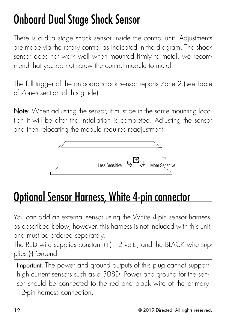# <span id="page-15-0"></span>Onboard Dual Stage Shock Sensor

There is a dual-stage shock sensor inside the control unit. Adjustments are made via the rotary control as indicated in the diagram. The shock sensor does not work well when mounted firmly to metal, we recommend that you do not screw the control module to metal.

The full trigger of the on-board shock sensor reports Zone 2 (see Table of Zones section of this guide).

Note: When adjusting the sensor, it must be in the same mounting location it will be after the installation is completed. Adjusting the sensor and then relocating the module requires readjustment.



### Optional Sensor Harness, White 4-pin connector

You can add an external sensor using the White 4-pin sensor harness, as described below, however, this harness is not included with this unit, and must be ordered separately.

The RED wire supplies constant (+) 12 volts, and the BLACK wire supplies (-) Ground.

Important: The power and ground outputs of this plug cannot support high current sensors such as a 508D. Power and ground for the sensor should be connected to the red and black wire of the primary 12-pin harness connection.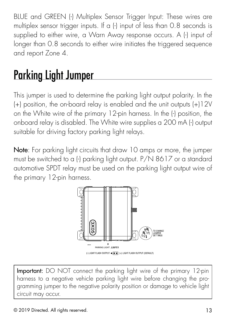<span id="page-16-0"></span>BLUE and GREEN (-) Multiplex Sensor Trigger Input: These wires are multiplex sensor trigger inputs. If a (-) input of less than 0.8 seconds is supplied to either wire, a Warn Away response occurs. A (-) input of longer than 0.8 seconds to either wire initiates the triggered sequence and report Zone 4.

# Parking Light Jumper

This jumper is used to determine the parking light output polarity. In the (+) position, the on-board relay is enabled and the unit outputs (+)12V on the White wire of the primary 12-pin harness. In the (-) position, the onboard relay is disabled. The White wire supplies a 200 mA (-) output suitable for driving factory parking light relays.

Note: For parking light circuits that draw 10 amps or more, the jumper must be switched to a (-) parking light output. P/N 8617 or a standard automotive SPDT relay must be used on the parking light output wire of the primary 12-pin harness.



Important: DO NOT connect the parking light wire of the primary 12-pin harness to a negative vehicle parking light wire before changing the programming jumper to the negative polarity position or damage to vehicle light circuit may occur.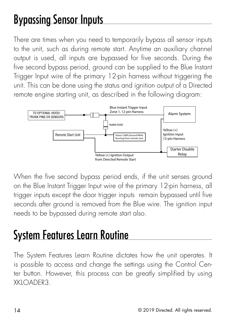### <span id="page-17-2"></span><span id="page-17-0"></span>Bypassing Sensor Inputs

There are times when you need to temporarily bypass all sensor inputs to the unit, such as during remote start. Anytime an auxiliary channel output is used, all inputs are bypassed for five seconds. During the five second bypass period, ground can be supplied to the Blue Instant Trigger Input wire of the primary 12-pin harness without triggering the unit. This can be done using the status and ignition output of a Directed remote engine starting unit, as described in the following diagram:



When the five second bypass period ends, if the unit senses ground on the Blue Instant Trigger Input wire of the primary 12-pin harness, all trigger inputs except the door trigger inputs remain bypassed until five seconds after ground is removed from the Blue wire. The ignition input needs to be bypassed during remote start also.

# <span id="page-17-1"></span>System Features Learn Routine

The System Features Learn Routine dictates how the unit operates. It is possible to access and change the settings using the Control Center button. However, this process can be greatly simplified by using XKLOADER3.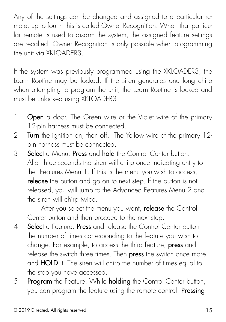Any of the settings can be changed and assigned to a particular remote, up to four - this is called Owner Recognition. When that particular remote is used to disarm the system, the assigned feature settings are recalled. Owner Recognition is only possible when programming the unit via XKLOADER3.

If the system was previously programmed using the XKLOADER3, the Learn Routine may be locked. If the siren generates one long chirp when attempting to program the unit, the Learn Routine is locked and must be unlocked using XKLOADER3.

- 1. Open a door. The Green wire or the Violet wire of the primary 12-pin harness must be connected.
- 2. Turn the ignition on, then off. The Yellow wire of the primary 12pin harness must be connected.
- 3. Select a Menu. Press and hold the Control Center button. After three seconds the siren will chirp once indicating entry to the Features Menu 1. If this is the menu you wish to access, release the button and go on to next step. If the button is not released, you will jump to the Advanced Features Menu 2 and the siren will chirp twice.

After you select the menu you want, release the Control Center button and then proceed to the next step.

- 4. Select a Feature. Press and release the Control Center button the number of times corresponding to the feature you wish to change. For example, to access the third feature, press and release the switch three times. Then press the switch once more and HOLD it. The siren will chirp the number of times equal to the step you have accessed.
- 5. Program the Feature. While holding the Control Center button, you can program the feature using the remote control. Pressing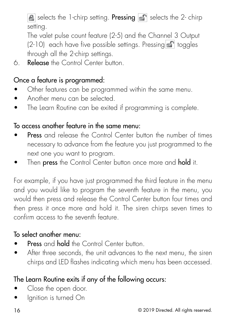selects the 1-chirp setting. **Pressing**  $\mathbb{S}^n$  selects the 2-chirp setting.

 The valet pulse count feature (2-5) and the Channel 3 Output (2-10) each have five possible settings. Pressing **T** toggles through all the 2-chirp settings.

6. Release the Control Center button.

#### Once a feature is programmed:

- Other features can be programmed within the same menu.
- Another menu can be selected.
- The Learn Routine can be exited if programming is complete.

#### To access another feature in the same menu:

- **Press** and release the Control Center button the number of times necessary to advance from the feature you just programmed to the next one you want to program.
- Then **press** the Control Center button once more and **hold** it.

For example, if you have just programmed the third feature in the menu and you would like to program the seventh feature in the menu, you would then press and release the Control Center button four times and then press it once more and hold it. The siren chirps seven times to confirm access to the seventh feature.

#### To select another menu:

- Press and hold the Control Center button.
- After three seconds, the unit advances to the next menu, the siren chirps and LED flashes indicating which menu has been accessed.

#### The Learn Routine exits if any of the following occurs:

- Close the open door.
- lgnition is turned On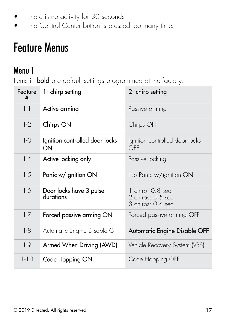- <span id="page-20-0"></span>There is no activity for 30 seconds
- The Control Center button is pressed too many times

### Feature Menus

### Menu 1

Items in bold are default settings programmed at the factory.

| Feature<br># | 1- chirp setting                     | 2- chirp setting                                           |
|--------------|--------------------------------------|------------------------------------------------------------|
| $1 - 1$      | Active arming                        | Passive arming                                             |
| $1-2$        | Chirps ON                            | Chirps OFF                                                 |
| $1-3$        | Ignition controlled door locks<br>ON | Ignition controlled door locks<br>OFF                      |
| $1-4$        | Active locking only                  | Passive locking                                            |
| $1-5$        | Panic w/ignition ON                  | No Panic w/ignition ON                                     |
| $1-6$        | Door locks have 3 pulse<br>durations | 1 chirp: 0.8 sec<br>2 chirps: 3.5 sec<br>3 chirps: 0.4 sec |
| $1-7$        | Forced passive arming ON             | Forced passive arming OFF                                  |
| $1-8$        | Automatic Engine Disable ON          | Automatic Engine Disable OFF                               |
| $1-9$        | Armed When Driving (AWD)             | Vehicle Recovery System (VRS)                              |
| $1-10$       | Code Hopping ON                      | Code Hopping OFF                                           |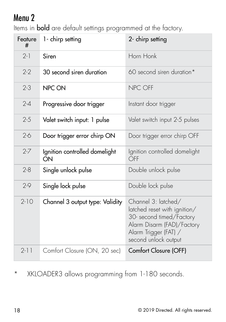### <span id="page-21-0"></span>Menu 2

Items in bold are default settings programmed at the factory.

| Feature<br># | 1- chirp setting                    | 2- chirp setting                                                                                                                                               |  |
|--------------|-------------------------------------|----------------------------------------------------------------------------------------------------------------------------------------------------------------|--|
| $2 - 1$      | Siren                               | Horn Honk                                                                                                                                                      |  |
| $2-2$        | 30 second siren duration            | 60 second siren duration*                                                                                                                                      |  |
| $2 - 3$      | NPC ON                              | NPC OFF                                                                                                                                                        |  |
| $2 - 4$      | Progressive door trigger            | Instant door trigger                                                                                                                                           |  |
| $2 - 5$      | Valet switch input: 1 pulse         | Valet switch input 2-5 pulses                                                                                                                                  |  |
| $2-6$        | Door trigger error chirp ON         | Door trigger error chirp OFF                                                                                                                                   |  |
| $2 - 7$      | Ignition controlled domelight<br>ON | Ignition controlled domelight<br>OFF                                                                                                                           |  |
| $2 - 8$      | Single unlock pulse                 | Double unlock pulse                                                                                                                                            |  |
| $2-9$        | Single lock pulse                   | Double lock pulse                                                                                                                                              |  |
| $2-10$       | Channel 3 output type: Validity     | Channel 3: latched/<br>latched reset with ignition/<br>30- second timed/Factory<br>Alarm Disarm (FAD)/Factory<br>Alarm Trigger (FAT) /<br>second unlock output |  |
| $2-11$       | Comfort Closure (ON, 20 sec)        | Comfort Closure (OFF)                                                                                                                                          |  |

\* XKLOADER3 allows programming from 1-180 seconds.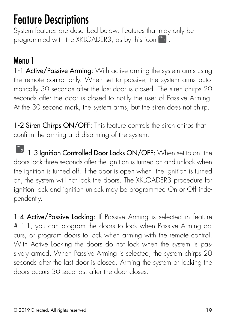### <span id="page-22-1"></span><span id="page-22-0"></span>Feature Descriptions

System features are described below. Features that may only be programmed with the XKLOADER3, as by this icon  $\mathbb{R}_3$  .

### Menu 1

1-1 Active/Passive Arming: With active arming the system arms using the remote control only. When set to passive, the system arms automatically 30 seconds after the last door is closed. The siren chirps 20 seconds after the door is closed to notify the user of Passive Arming. At the 30 second mark, the system arms, but the siren does not chirp.

1-2 Siren Chirps ON/OFF: This feature controls the siren chirps that confirm the arming and disarming of the system.

 $\mathbf{S}$  bitwriter  $\mathbf{S}$ 1-3 Ignition Controlled Door Locks ON/OFF: When set to on, the **3** doors lock three seconds after the ignition is turned on and unlock when the ignition is turned off. If the door is open when the ignition is turned on, the system will not lock the doors. The XKLOADER3 procedure for ignition lock and ignition unlock may be programmed On or Off independently.

1-4 Active/Passive Locking: If Passive Arming is selected in feature # 1-1, you can program the doors to lock when Passive Arming occurs, or program doors to lock when arming with the remote control. With Active Locking the doors do not lock when the system is passively armed. When Passive Arming is selected, the system chirps 20 seconds after the last door is closed. Arming the system or locking the doors occurs 30 seconds, after the door closes.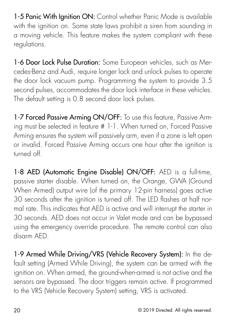1-5 Panic With Ignition ON: Control whether Panic Mode is available with the ignition on. Some state laws prohibit a siren from sounding in a moving vehicle. This feature makes the system compliant with these regulations.

1-6 Door Lock Pulse Duration: Some European vehicles, such as Mercedes-Benz and Audi, require longer lock and unlock pulses to operate the door lock vacuum pump. Programming the system to provide 3.5 second pulses, accommodates the door lock interface in these vehicles. The default setting is 0.8 second door lock pulses.

1-7 Forced Passive Arming ON/OFF: To use this feature, Passive Arming must be selected in feature # 1-1. When turned on, Forced Passive Arming ensures the system will passively arm, even if a zone is left open or invalid. Forced Passive Arming occurs one hour after the ignition is turned off.

1-8 AED (Automatic Engine Disable) ON/OFF: AED is a full-time, passive starter disable. When turned on, the Orange, GWA (Ground When Armed) output wire (of the primary 12-pin harness) goes active 30 seconds after the ignition is turned off. The LED flashes at half normal rate. This indicates that AED is active and will interrupt the starter in 30 seconds. AED does not occur in Valet mode and can be bypassed using the emergency override procedure. The remote control can also disarm AED.

1-9 Armed While Driving/VRS (Vehicle Recovery System): In the default setting (Armed While Driving), the system can be armed with the ignition on. When armed, the ground-when-armed is not active and the sensors are bypassed. The door triggers remain active. If programmed to the VRS (Vehicle Recovery System) setting, VRS is activated.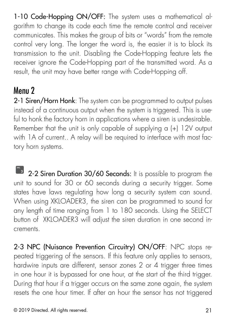<span id="page-24-0"></span>1-10 Code-Hopping ON/OFF: The system uses a mathematical algorithm to change its code each time the remote control and receiver communicates. This makes the group of bits or "words" from the remote control very long. The longer the word is, the easier it is to block its transmission to the unit. Disabling the Code-Hopping feature lets the receiver ignore the Code-Hopping part of the transmitted word. As a result, the unit may have better range with Code-Hopping off.

### Menu 2

2-1 Siren/Horn Honk: The system can be programmed to output pulses instead of a continuous output when the system is triggered. This is useful to honk the factory horn in applications where a siren is undesirable. Remember that the unit is only capable of supplying a (+) 12V output with 1A of current.. A relay will be required to interface with most factory horn systems.

**2-2 Siren Duration 30/60 Seconds:** It is possible to program the **XKL 3** unit to sound for 30 or 60 seconds during a security trigger. Some states have laws regulating how long a security system can sound. When using XKLOADER3, the siren can be programmed to sound for any length of time ranging from 1 to 180 seconds. Using the SELECT button of XKLOADER3 will adjust the siren duration in one second increments.

2-3 NPC (Nuisance Prevention Circuitry) ON/OFF: NPC stops repeated triggering of the sensors. If this feature only applies to sensors, hardwire inputs are different, sensor zones 2 or 4 trigger three times in one hour it is bypassed for one hour, at the start of the third trigger. During that hour if a trigger occurs on the same zone again, the system resets the one hour timer. If after an hour the sensor has not triggered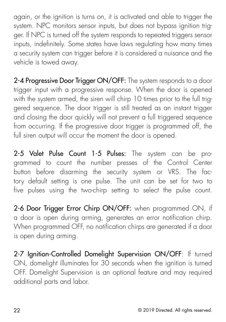again, or the ignition is turns on, it is activated and able to trigger the system. NPC monitors sensor inputs, but does not bypass ignition trigger. If NPC is turned off the system responds to repeated triggers sensor inputs, indefinitely. Some states have laws regulating how many times a security system can trigger before it is considered a nuisance and the vehicle is towed away.

2-4 Progressive Door Trigger ON/OFF: The system responds to a door trigger input with a progressive response. When the door is opened with the system armed, the siren will chirp 10 times prior to the full triggered sequence. The door trigger is still treated as an instant trigger and closing the door quickly will not prevent a full triggered sequence from occurring. If the progressive door trigger is programmed off, the full siren output will occur the moment the door is opened.

2-5 Valet Pulse Count 1-5 Pulses: The system can be programmed to count the number presses of the Control Center button before disarming the security system or VRS. The factory default setting is one pulse. The unit can be set for two to five pulses using the two-chirp setting to select the pulse count.

2-6 Door Trigger Error Chirp ON/OFF: when programmed ON, if a door is open during arming, generates an error notification chirp. When programmed OFF, no notification chirps are generated if a door is open during arming.

2-7 Ignition-Controlled Domelight Supervision ON/OFF: If turned ON, domelight illuminates for 30 seconds when the ignition is turned OFF. Domelight Supervision is an optional feature and may required additional parts and labor.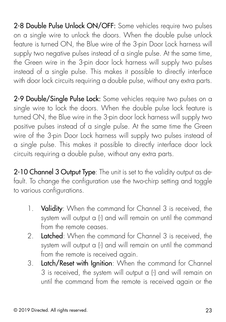2-8 Double Pulse Unlock ON/OFF: Some vehicles require two pulses on a single wire to unlock the doors. When the double pulse unlock feature is turned ON, the Blue wire of the 3-pin Door Lock harness will supply two negative pulses instead of a single pulse. At the same time, the Green wire in the 3-pin door lock harness will supply two pulses instead of a single pulse. This makes it possible to directly interface with door lock circuits requiring a double pulse, without any extra parts.

2-9 Double/Single Pulse Lock: Some vehicles require two pulses on a single wire to lock the doors. When the double pulse lock feature is turned ON, the Blue wire in the 3-pin door lock harness will supply two positive pulses instead of a single pulse. At the same time the Green wire of the 3-pin Door Lock harness will supply two pulses instead of a single pulse. This makes it possible to directly interface door lock circuits requiring a double pulse, without any extra parts.

2-10 Channel 3 Output Type: The unit is set to the validity output as default. To change the configuration use the two-chirp setting and toggle to various configurations.

- 1. Validity: When the command for Channel 3 is received, the system will output a (-) and will remain on until the command from the remote ceases.
- 2 **Latched:** When the command for Channel 3 is received, the system will output a (-) and will remain on until the command from the remote is received again.
- 3. Latch/Reset with Ignition: When the command for Channel 3 is received, the system will output a (-) and will remain on until the command from the remote is received again or the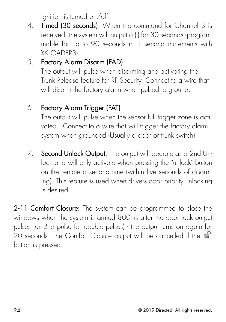ignition is turned on/off.

4. **Timed (30 seconds)**: When the command for Channel 3 is received, the system will output a (-) for 30 seconds (programmable for up to 90 seconds in 1 second increments with XKLOADER3).

#### 5. Factory Alarm Disarm (FAD)

The output will pulse when disarming and activating the Trunk Release feature for RF Security. Connect to a wire that will disarm the factory alarm when pulsed to ground.

#### 6. Factory Alarm Trigger (FAT)

The output will pulse when the sensor full trigger zone is activated. Connect to a wire that will trigger the factory alarm system when grounded (Usually a door or trunk switch).

7. Second Unlock Output: The output will operate as a 2nd Unlock and will only activate when pressing the "unlock" button on the remote a second time (within five seconds of disarming). This feature is used when drivers door priority unlocking is desired.

2-11 Comfort Closure: The system can be programmed to close the windows when the system is armed 800ms after the door lock output pulses (or 2nd pulse for double pulses) - the output turns on again for 20 seconds. The Comfort Closure output will be cancelled if the button is pressed.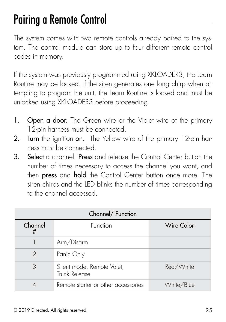### <span id="page-28-0"></span>Pairing a Remote Control

The system comes with two remote controls already paired to the system. The control module can store up to four different remote control codes in memory.

If the system was previously programmed using XKLOADER3, the Learn Routine may be locked. If the siren generates one long chirp when attempting to program the unit, the Learn Routine is locked and must be unlocked using XKLOADER3 before proceeding.

- 1. Open a door. The Green wire or the Violet wire of the primary 12-pin harness must be connected.
- 2. Turn the ignition on. The Yellow wire of the primary 12-pin harness must be connected.
- 3. Select a channel. Press and release the Control Center button the number of times necessary to access the channel you want, and then press and hold the Control Center button once more. The siren chirps and the LED blinks the number of times corresponding to the channel accessed.

| Channel/ Function |                                             |            |
|-------------------|---------------------------------------------|------------|
| Channel<br>#      | Function                                    | Wire Color |
|                   | Arm/Disarm                                  |            |
| $\mathcal{D}$     | Panic Only                                  |            |
| 3                 | Silent mode, Remote Valet,<br>Trunk Release | Red/White  |
|                   | Remote starter or other accessories         | White/Blue |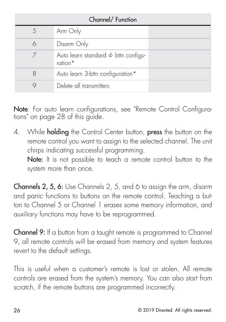| Channel/ Function |                                                 |  |
|-------------------|-------------------------------------------------|--|
|                   | Arm Only                                        |  |
| 6                 | Disarm Only                                     |  |
|                   | Auto learn standard 4- bttn configu-<br>ration* |  |
| 8                 | Auto learn 3-bttn configuration*                |  |
|                   | Delete all transmitters                         |  |

Note: For auto learn configurations, see ["Remote Control Configura](#page-31-1)[tions" on page 28](#page-31-1) of this guide.

4. While **holding** the Control Center button, **press** the button on the remote control you want to assign to the selected channel. The unit chirps indicating successful programming.

Note: It is not possible to teach a remote control button to the system more than once.

Channels 2, 5, 6: Use Channels 2, 5, and 6 to assign the arm, disarm and panic functions to buttons on the remote control. Teaching a button to Channel 5 or Channel 1 erases some memory information, and auxiliary functions may have to be reprogrammed.

Channel 9: If a button from a taught remote is programmed to Channel 9, all remote controls will be erased from memory and system features revert to the default settings.

This is useful when a customer's remote is lost or stolen. All remote controls are erased from the system's memory. You can also start from scratch, if the remote buttons are programmed incorrectly.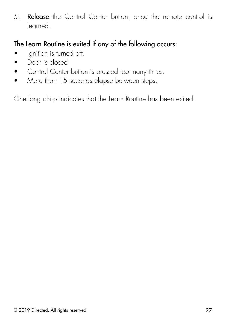5. Release the Control Center button, once the remote control is learned.

#### The Learn Routine is exited if any of the following occurs:

- Ignition is turned off.
- Door is closed
- Control Center button is pressed too many times.
- More than 15 seconds elapse between steps.

One long chirp indicates that the Learn Routine has been exited.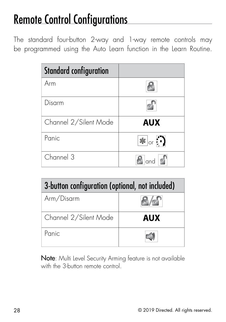# <span id="page-31-1"></span><span id="page-31-0"></span>Remote Control Configurations

The standard four-button 2-way and 1-way remote controls may be programmed using the Auto Learn function in the Learn Routine.

| <b>Standard configuration</b> |                                |
|-------------------------------|--------------------------------|
| Arm                           |                                |
| Disarm                        |                                |
| Channel 2/Silent Mode         | <b>AUX</b>                     |
| Panic                         | $ \mathbf{L} $ or $\mathbf{L}$ |
| Channel 3                     | and                            |

| 3-button configuration (optional, not included) |     |
|-------------------------------------------------|-----|
| Arm/Disarm                                      |     |
| Channel 2/Silent Mode                           | AUX |
| Panic                                           |     |

Note: Multi Level Security Arming feature is not available with the 3-button remote control.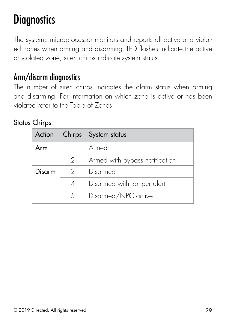### <span id="page-32-0"></span>**Diagnostics**

The system's microprocessor monitors and reports all active and violated zones when arming and disarming. LED flashes indicate the active or violated zone, siren chirps indicate system status.

### Arm/disarm diagnostics

The number of siren chirps indicates the alarm status when arming and disarming. For information on which zone is active or has been violated refer to the Table of Zones.

#### Status Chirps

| Action |               | Chirps   System status         |
|--------|---------------|--------------------------------|
| Arm    |               | Armed                          |
|        | $\mathcal{L}$ | Armed with bypass notification |
| Disarm | $\mathcal{P}$ | Disarmed                       |
|        | 4             | Disarmed with tamper alert     |
|        | 5             | Disarmed/NPC active            |
|        |               |                                |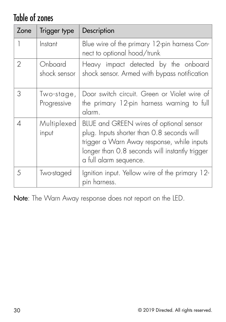### <span id="page-33-0"></span>Table of zones

| Zone          | Trigger type              | Description                                                                                                                                                                                                     |
|---------------|---------------------------|-----------------------------------------------------------------------------------------------------------------------------------------------------------------------------------------------------------------|
| 1             | Instant                   | Blue wire of the primary 12-pin harness Con-<br>nect to optional hood/trunk                                                                                                                                     |
| $\mathcal{P}$ | Onboard<br>shock sensor   | Heavy impact detected by the onboard<br>shock sensor. Armed with bypass notification                                                                                                                            |
| 3             | Two-stage,<br>Progressive | Door switch circuit. Green or Violet wire of<br>the primary 12-pin harness warning to full<br>alarm.                                                                                                            |
| 4             | Multiplexed<br>input      | BLUE and GREEN wires of optional sensor<br>plug. Inputs shorter than 0.8 seconds will<br>trigger a Warn Away response, while inputs<br>longer than 0.8 seconds will instantly trigger<br>a full alarm sequence. |
| 5             | Two-staged                | Ignition input. Yellow wire of the primary 12-<br>pin harness.                                                                                                                                                  |

Note: The Warn Away response does not report on the LED.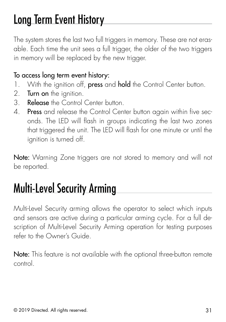### <span id="page-34-0"></span>Long Term Event History

The system stores the last two full triggers in memory. These are not erasable. Each time the unit sees a full trigger, the older of the two triggers in memory will be replaced by the new trigger.

#### To access long term event history:

- 1. With the ignition off, press and hold the Control Center button.
- 2. Turn on the ignition.
- 3. Release the Control Center button.
- 4. Press and release the Control Center button again within five seconds. The LED will flash in groups indicating the last two zones that triggered the unit. The LED will flash for one minute or until the ignition is turned off.

Note: Warning Zone triggers are not stored to memory and will not be reported.

### Multi-Level Security Arming

Multi-Level Security arming allows the operator to select which inputs and sensors are active during a particular arming cycle. For a full description of Multi-Level Security Arming operation for testing purposes refer to the Owner's Guide.

Note: This feature is not available with the optional three-button remote control.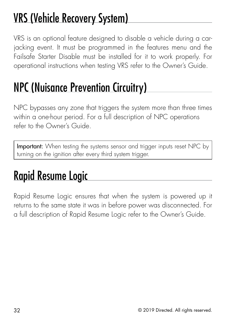# <span id="page-35-0"></span>VRS (Vehicle Recovery System)

VRS is an optional feature designed to disable a vehicle during a carjacking event. It must be programmed in the features menu and the Failsafe Starter Disable must be installed for it to work properly. For operational instructions when testing VRS refer to the Owner's Guide.

### NPC (Nuisance Prevention Circuitry)

NPC bypasses any zone that triggers the system more than three times within a one-hour period. For a full description of NPC operations refer to the Owner's Guide.

Important: When testing the systems sensor and trigger inputs reset NPC by turning on the ignition after every third system trigger.

# Rapid Resume Logic

Rapid Resume Logic ensures that when the system is powered up it returns to the same state it was in before power was disconnected. For a full description of Rapid Resume Logic refer to the Owner's Guide.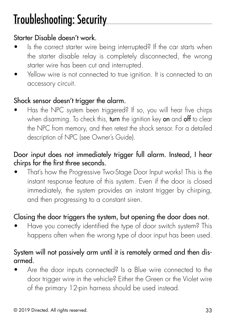### <span id="page-36-0"></span>Troubleshooting: Security

#### Starter Disable doesn't work.

- Is the correct starter wire being interrupted? If the car starts when the starter disable relay is completely disconnected, the wrong starter wire has been cut and interrupted.
- Yellow wire is not connected to true ignition. It is connected to an accessory circuit.

#### Shock sensor doesn't trigger the alarm.

• Has the NPC system been triggered? If so, you will hear five chirps when disarming. To check this, turn the ignition key on and off to clear the NPC from memory, and then retest the shock sensor. For a detailed description of NPC (see Owner's Guide).

#### Door input does not immediately trigger full alarm. Instead, I hear chirps for the first three seconds.

• That's how the Progressive Two-Stage Door Input works! This is the instant response feature of this system. Even if the door is closed immediately, the system provides an instant trigger by chirping, and then progressing to a constant siren.

#### Closing the door triggers the system, but opening the door does not.

• Have you correctly identified the type of door switch system? This happens often when the wrong type of door input has been used.

#### System will not passively arm until it is remotely armed and then disarmed.

• Are the door inputs connected? Is a Blue wire connected to the door trigger wire in the vehicle? Either the Green or the Violet wire of the primary 12-pin harness should be used instead.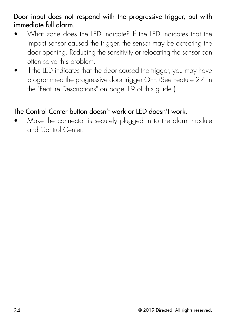Door input does not respond with the progressive trigger, but with immediate full alarm.

- What zone does the LED indicate? If the LED indicates that the impact sensor caused the trigger, the sensor may be detecting the door opening. Reducing the sensitivity or relocating the sensor can often solve this problem.
- If the LED indicates that the door caused the trigger, you may have programmed the progressive door trigger OFF. (See Feature 2-4 in the ["Feature Descriptions" on page 19](#page-22-1) of this guide.)

#### The Control Center button doesn't work or LED doesn't work.

• Make the connector is securely plugged in to the alarm module and Control Center.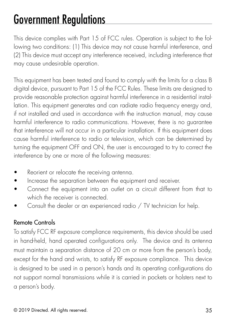### <span id="page-38-0"></span>Government Regulations

This device complies with Part 15 of FCC rules. Operation is subject to the following two conditions: (1) This device may not cause harmful interference, and (2) This device must accept any interference received, including interference that may cause undesirable operation.

This equipment has been tested and found to comply with the limits for a class B digital device, pursuant to Part 15 of the FCC Rules. These limits are designed to provide reasonable protection against harmful interference in a residential installation. This equipment generates and can radiate radio frequency energy and, if not installed and used in accordance with the instruction manual, may cause harmful interference to radio communications. However, there is no guarantee that interference will not occur in a particular installation. If this equipment does cause harmful interference to radio or television, which can be determined by turning the equipment OFF and ON, the user is encouraged to try to correct the interference by one or more of the following measures:

- Reorient or relocate the receiving antenna.
- Increase the separation between the equipment and receiver.
- Connect the equipment into an outlet on a circuit different from that to which the receiver is connected.
- Consult the dealer or an experienced radio / TV technician for help.

#### Remote Controls

To satisfy FCC RF exposure compliance requirements, this device should be used in hand-held, hand operated configurations only. The device and its antenna must maintain a separation distance of 20 cm or more from the person's body, except for the hand and wrists, to satisfy RF exposure compliance. This device is designed to be used in a person's hands and its operating configurations do not support normal transmissions while it is carried in pockets or holsters next to a person's body.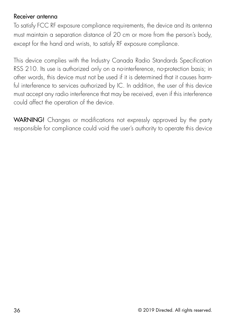#### Receiver antenna

To satisfy FCC RF exposure compliance requirements, the device and its antenna must maintain a separation distance of 20 cm or more from the person's body, except for the hand and wrists, to satisfy RF exposure compliance.

This device complies with the Industry Canada Radio Standards Specification RSS 210. Its use is authorized only on a no-interference, no-protection basis; in other words, this device must not be used if it is determined that it causes harmful interference to services authorized by IC. In addition, the user of this device must accept any radio interference that may be received, even if this interference could affect the operation of the device.

WARNING! Changes or modifications not expressly approved by the party responsible for compliance could void the user's authority to operate this device